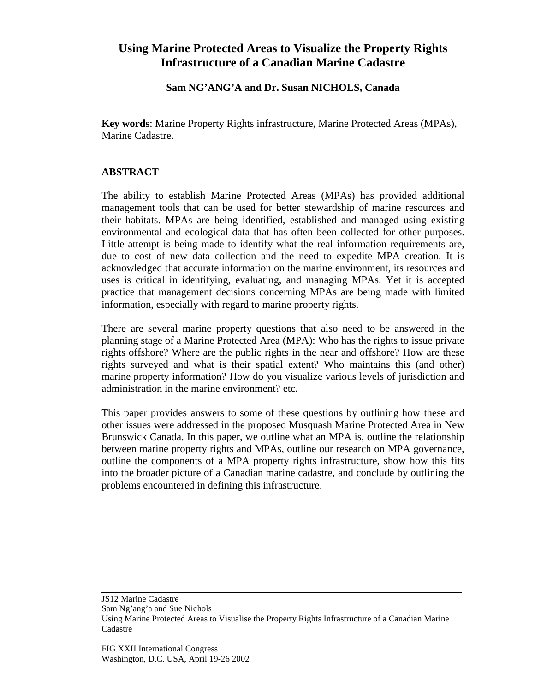## **Using Marine Protected Areas to Visualize the Property Rights Infrastructure of a Canadian Marine Cadastre**

## **Sam NG'ANG'A and Dr. Susan NICHOLS, Canada**

**Key words**: Marine Property Rights infrastructure, Marine Protected Areas (MPAs), Marine Cadastre.

## **ABSTRACT**

The ability to establish Marine Protected Areas (MPAs) has provided additional management tools that can be used for better stewardship of marine resources and their habitats. MPAs are being identified, established and managed using existing environmental and ecological data that has often been collected for other purposes. Little attempt is being made to identify what the real information requirements are, due to cost of new data collection and the need to expedite MPA creation. It is acknowledged that accurate information on the marine environment, its resources and uses is critical in identifying, evaluating, and managing MPAs. Yet it is accepted practice that management decisions concerning MPAs are being made with limited information, especially with regard to marine property rights.

There are several marine property questions that also need to be answered in the planning stage of a Marine Protected Area (MPA): Who has the rights to issue private rights offshore? Where are the public rights in the near and offshore? How are these rights surveyed and what is their spatial extent? Who maintains this (and other) marine property information? How do you visualize various levels of jurisdiction and administration in the marine environment? etc.

This paper provides answers to some of these questions by outlining how these and other issues were addressed in the proposed Musquash Marine Protected Area in New Brunswick Canada. In this paper, we outline what an MPA is, outline the relationship between marine property rights and MPAs, outline our research on MPA governance, outline the components of a MPA property rights infrastructure, show how this fits into the broader picture of a Canadian marine cadastre, and conclude by outlining the problems encountered in defining this infrastructure.

Sam Ng'ang'a and Sue Nichols

JS12 Marine Cadastre

Using Marine Protected Areas to Visualise the Property Rights Infrastructure of a Canadian Marine Cadastre